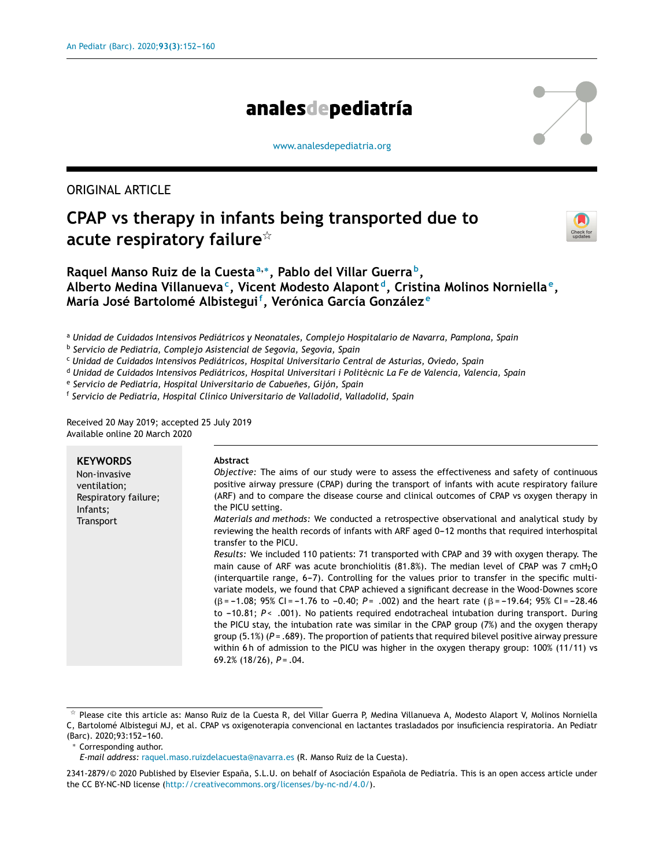# analesdepediatría

[www.analesdepediatria.org](http://www.analesdepediatria.org)

## ORIGINAL ARTICLE

# **CPAP vs therapy in infants being transported due to acute respiratory failure**-



## **Raquel Manso Ruiz de la Cuesta<sup>a</sup>**,<sup>∗</sup> **, Pablo del Villar Guerra <sup>b</sup> , Alberto Medina Villanueva<sup>c</sup> , Vicent Modesto Alapont <sup>d</sup> , Cristina Molinos Norniella <sup>e</sup> , María José Bartolomé Albistegui<sup>f</sup> , Verónica García González <sup>e</sup>**

<sup>a</sup> *Unidad de Cuidados Intensivos Pediátricos y Neonatales, Complejo Hospitalario de Navarra, Pamplona, Spain*

b *Servicio de Pediatría, Complejo Asistencial de Segovia, Segovia, Spain*

<sup>c</sup> *Unidad de Cuidados Intensivos Pediátricos, Hospital Universitario Central de Asturias, Oviedo, Spain*

<sup>d</sup> *Unidad de Cuidados Intensivos Pediátricos, Hospital Universitari i Politècnic La Fe de Valencia, Valencia, Spain*

e *Servicio de Pediatría, Hospital Universitario de Cabuenes, ˜ Gijón, Spain*

f *Servicio de Pediatría, Hospital Clínico Universitario de Valladolid, Valladolid, Spain*

Received 20 May 2019; accepted 25 July 2019 Available online 20 March 2020

| <b>KEYWORDS</b><br>Non-invasive<br>ventilation;<br>Respiratory failure;<br>Infants;<br>Transport | Abstract<br>Objective: The aims of our study were to assess the effectiveness and safety of continuous<br>positive airway pressure (CPAP) during the transport of infants with acute respiratory failure<br>(ARF) and to compare the disease course and clinical outcomes of CPAP vs oxygen therapy in<br>the PICU setting.<br>Materials and methods: We conducted a retrospective observational and analytical study by<br>reviewing the health records of infants with ARF aged 0-12 months that required interhospital<br>transfer to the PICU.<br>Results: We included 110 patients: 71 transported with CPAP and 39 with oxygen therapy. The<br>main cause of ARF was acute bronchiolitis (81.8%). The median level of CPAP was 7 cmH <sub>2</sub> O<br>(interquartile range, 6-7). Controlling for the values prior to transfer in the specific multi-<br>variate models, we found that CPAP achieved a significant decrease in the Wood-Downes score<br>$(\beta = -1.08; 95\% \text{ Cl} = -1.76 \text{ to } -0.40; P = .002)$ and the heart rate ( $\beta = -19.64; 95\% \text{ Cl} = -28.46$ )<br>to -10.81; $P < .001$ ). No patients required endotracheal intubation during transport. During<br>the PICU stay, the intubation rate was similar in the CPAP group (7%) and the oxygen therapy<br>group (5.1%) ( $P = .689$ ). The proportion of patients that required bilevel positive airway pressure<br>within 6h of admission to the PICU was higher in the oxygen therapy group: 100% (11/11) vs |
|--------------------------------------------------------------------------------------------------|-------------------------------------------------------------------------------------------------------------------------------------------------------------------------------------------------------------------------------------------------------------------------------------------------------------------------------------------------------------------------------------------------------------------------------------------------------------------------------------------------------------------------------------------------------------------------------------------------------------------------------------------------------------------------------------------------------------------------------------------------------------------------------------------------------------------------------------------------------------------------------------------------------------------------------------------------------------------------------------------------------------------------------------------------------------------------------------------------------------------------------------------------------------------------------------------------------------------------------------------------------------------------------------------------------------------------------------------------------------------------------------------------------------------------------------------------------------------------------------------------------------------|
|                                                                                                  | 69.2% $(18/26)$ , $P = .04$ .                                                                                                                                                                                                                                                                                                                                                                                                                                                                                                                                                                                                                                                                                                                                                                                                                                                                                                                                                                                                                                                                                                                                                                                                                                                                                                                                                                                                                                                                                     |

 $*$  Please cite this article as: Manso Ruiz de la Cuesta R, del Villar Guerra P, Medina Villanueva A, Modesto Alaport V, Molinos Norniella C, Bartolomé Albistegui MJ, et al. CPAP vs oxigenoterapia convencional en lactantes trasladados por insuficiencia respiratoria. An Pediatr

(Barc). 2020;93:152-160.

<sup>∗</sup> Corresponding author.

*E-mail address:* [raquel.maso.ruizdelacuesta@navarra.es](mailto:raquel.maso.ruizdelacuesta@navarra.es) (R. Manso Ruiz de la Cuesta).

<sup>2341-2879/© 2020</sup> Published by Elsevier España, S.L.U. on behalf of Asociación Española de Pediatría. This is an open access article under the CC BY-NC-ND license [\(http://creativecommons.org/licenses/by-nc-nd/4.0/\)](http://creativecommons.org/licenses/by-nc-nd/4.0/).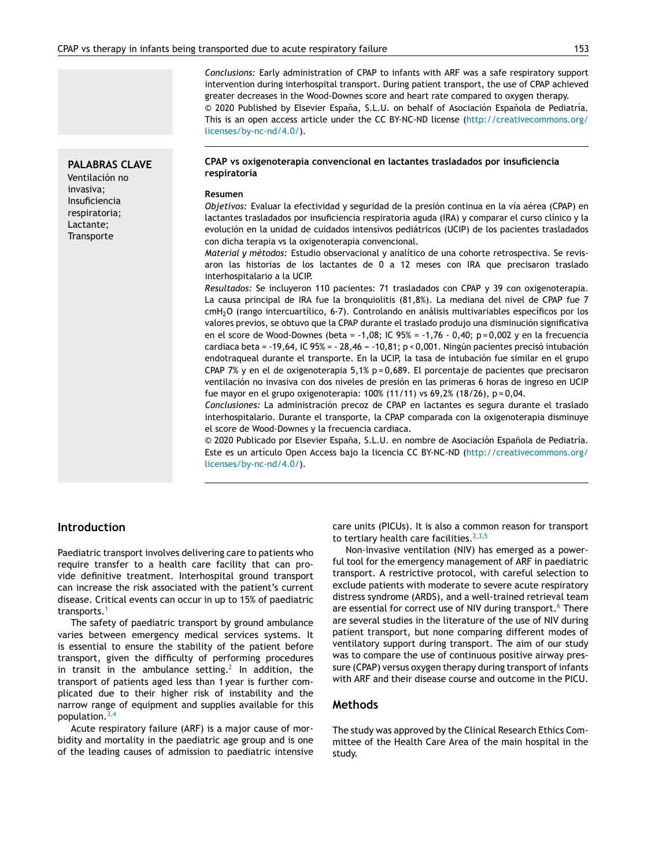*Conclusions:* Early administration of CPAP to infants with ARF was a safe respiratory support intervention during interhospital transport. During patient transport, the use of CPAP achieved greater decreases in the Wood-Downes score and heart rate compared to oxygen therapy. © 2020 Published by Elsevier España, S.L.U. on behalf of Asociación Española de Pediatría. This is an open access article under the CC BY-NC-ND license ([http://creativecommons.org/](http://creativecommons.org/licenses/by-nc-nd/4.0/) [licenses/by-nc-nd/4.0/](http://creativecommons.org/licenses/by-nc-nd/4.0/)).

#### **CPAP vs oxigenoterapia convencional en lactantes trasladados por insuficiencia respiratoria**

#### **Resumen**

*Objetivos:* Evaluar la efectividad y seguridad de la presión continua en la vía aérea (CPAP) en lactantes trasladados por insuficiencia respiratoria aguda (IRA) y comparar el curso clínico y la evolución en la unidad de cuidados intensivos pediátricos (UCIP) de los pacientes trasladados con dicha terapia vs la oxigenoterapia convencional.

*Material y métodos:* Estudio observacional y analítico de una cohorte retrospectiva. Se revisaron las historias de los lactantes de 0 a 12 meses con IRA que precisaron traslado interhospitalario a la UCIP.

*Resultados:* Se incluyeron 110 pacientes: 71 trasladados con CPAP y 39 con oxigenoterapia. La causa principal de IRA fue la bronquiolitis (81,8%). La mediana del nivel de CPAP fue 7 cmH2O (rango intercuartílico, 6-7). Controlando en análisis multivariables específicos por los valores previos, se obtuvo que la CPAP durante el traslado produjo una disminución significativa en el score de Wood-Downes (beta = -1,08; IC 95% = -1,76 - 0,40; p = 0,002 y en la frecuencia cardiaca beta = -19,64, IC 95% = - 28,46 - -10,81; p < 0,001. Ningún pacientes precisó intubación endotraqueal durante el transporte. En la UCIP, la tasa de intubación fue similar en el grupo CPAP 7% y en el de oxigenoterapia 5,1% p = 0,689. El porcentaje de pacientes que precisaron ventilación no invasiva con dos niveles de presión en las primeras 6 horas de ingreso en UCIP fue mayor en el grupo oxigenoterapia: 100% (11/11) vs 69,2% (18/26), p = 0,04.

*Conclusiones:* La administración precoz de CPAP en lactantes es segura durante el traslado interhospitalario. Durante el transporte, la CPAP comparada con la oxigenoterapia disminuye el score de Wood-Downes y la frecuencia cardiaca.

© 2020 Publicado por Elsevier España, S.L.U. en nombre de Asociación Española de Pediatría. Este es un artículo Open Access bajo la licencia CC BY-NC-ND ([http://creativecommons.org/](http://creativecommons.org/licenses/by-nc-nd/4.0/) [licenses/by-nc-nd/4.0/](http://creativecommons.org/licenses/by-nc-nd/4.0/)).

#### **Introduction**

**PALABRAS CLAVE** Ventilación no invasiva; Insuficiencia respiratoria; Lactante; **Transporte** 

Paediatric transport involves delivering care to patients who require transfer to a health care facility that can provide definitive treatment. Interhospital ground transport can increase the risk associated with the patient's current disease. Critical events can occur in up to 15% of paediatric transports.[1](#page-7-0)

The safety of paediatric transport by ground ambulance varies between emergency medical services systems. It is essential to ensure the stability of the patient before transport, given the difficulty of performing procedures in transit in the ambulance setting.<sup>[2](#page-7-0)</sup> In addition, the transport of patients aged less than 1 year is further complicated due to their higher risk of instability and the narrow range of equipment and supplies available for this population. $3,4$ 

Acute respiratory failure (ARF) is a major cause of morbidity and mortality in the paediatric age group and is one of the leading causes of admission to paediatric intensive

care units (PICUs). It is also a common reason for transport to tertiary health care facilities. $2,3,5$ 

Non-invasive ventilation (NIV) has emerged as a powerful tool for the emergency management of ARF in paediatric transport. A restrictive protocol, with careful selection to exclude patients with moderate to severe acute respiratory distress syndrome (ARDS), and a well-trained retrieval team are essential for correct use of NIV during transport.<sup>6</sup> [T](#page-7-0)here are several studies in the literature of the use of NIV during patient transport, but none comparing different modes of ventilatory support during transport. The aim of our study was to compare the use of continuous positive airway pressure (CPAP) versus oxygen therapy during transport of infants with ARF and their disease course and outcome in the PICU.

#### **Methods**

The study was approved by the Clinical Research Ethics Committee of the Health Care Area of the main hospital in the study.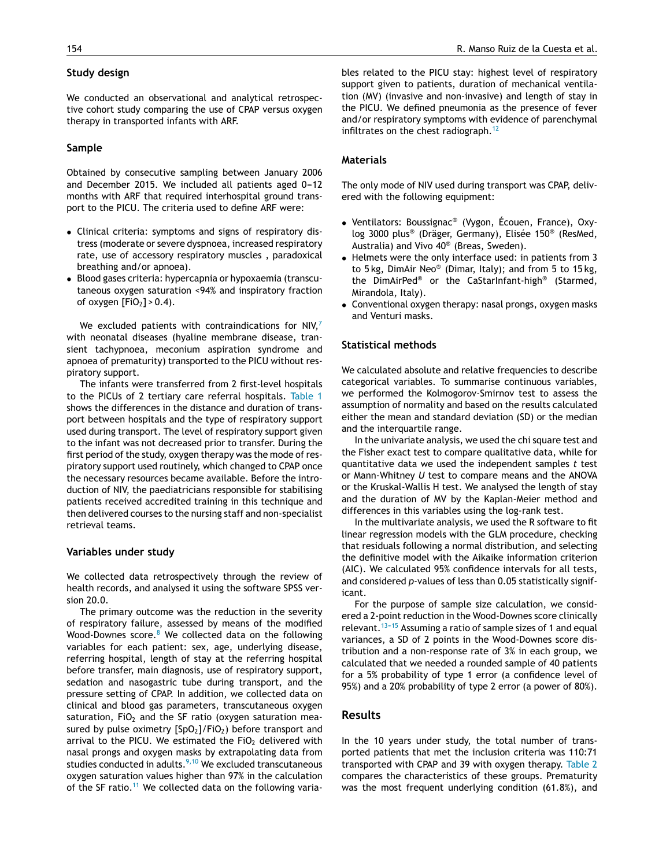#### **Study design**

We conducted an observational and analytical retrospective cohort study comparing the use of CPAP versus oxygen therapy in transported infants with ARF.

#### **Sample**

Obtained by consecutive sampling between January 2006 and December 2015. We included all patients aged  $0-12$ months with ARF that required interhospital ground transport to the PICU. The criteria used to define ARF were:

- Clinical criteria: symptoms and signs of respiratory distress (moderate or severe dyspnoea, increased respiratory rate, use of accessory respiratory muscles , paradoxical breathing and/or apnoea).
- Blood gases criteria: hypercapnia or hypoxaemia (transcutaneous oxygen saturation <94% and inspiratory fraction of oxygen  $[FIO<sub>2</sub>] > 0.4$ ).

We excluded patients with contraindications for  $N_1N_2$ with neonatal diseases (hyaline membrane disease, transient tachypnoea, meconium aspiration syndrome and apnoea of prematurity) transported to the PICU without respiratory support.

The infants were transferred from 2 first-level hospitals to the PICUs of 2 tertiary care referral hospitals. [Table](#page-3-0) 1 shows the differences in the distance and duration of transport between hospitals and the type of respiratory support used during transport. The level of respiratory support given to the infant was not decreased prior to transfer. During the first period of the study, oxygen therapy was the mode of respiratory support used routinely, which changed to CPAP once the necessary resources became available. Before the introduction of NIV, the paediatricians responsible for stabilising patients received accredited training in this technique and then delivered courses to the nursing staff and non-specialist retrieval teams.

#### **Variables under study**

We collected data retrospectively through the review of health records, and analysed it using the software SPSS version 20.0.

The primary outcome was the reduction in the severity of respiratory failure, assessed by means of the modified Wood-Downes score.<sup>[8](#page-7-0)</sup> We collected data on the following variables for each patient: sex, age, underlying disease, referring hospital, length of stay at the referring hospital before transfer, main diagnosis, use of respiratory support, sedation and nasogastric tube during transport, and the pressure setting of CPAP. In addition, we collected data on clinical and blood gas parameters, transcutaneous oxygen saturation,  $FiO<sub>2</sub>$  and the SF ratio (oxygen saturation measured by pulse oximetry  $[SpO<sub>2</sub>]/FiO<sub>2</sub>$ ) before transport and arrival to the PICU. We estimated the FiO<sub>2</sub> delivered with nasal prongs and oxygen masks by extrapolating data from studies conducted in adults.<sup>[9,10](#page-8-0)</sup> We excluded transcutaneous oxygen saturation values higher than 97% in the calculation of the SF ratio.<sup>[11](#page-8-0)</sup> We collected data on the following variables related to the PICU stay: highest level of respiratory support given to patients, duration of mechanical ventilation (MV) (invasive and non-invasive) and length of stay in the PICU. We defined pneumonia as the presence of fever and/or respiratory symptoms with evidence of parenchymal infiltrates on the chest radiograph.<sup>[12](#page-8-0)</sup>

#### **Materials**

The only mode of NIV used during transport was CPAP, delivered with the following equipment:

- Ventilators: Boussignac® (Vygon, Écouen, France), Oxylog 3000 plus® (Dräger, Germany), Elisée 150® (ResMed, Australia) and Vivo 40® (Breas, Sweden).
- Helmets were the only interface used: in patients from 3 to 5 kg, DimAir Neo® (Dimar, Italy); and from 5 to 15 kg, the DimAirPed® or the CaStarInfant-high® (Starmed, Mirandola, Italy).
- Conventional oxygen therapy: nasal prongs, oxygen masks and Venturi masks.

#### **Statistical methods**

We calculated absolute and relative frequencies to describe categorical variables. To summarise continuous variables, we performed the Kolmogorov-Smirnov test to assess the assumption of normality and based on the results calculated either the mean and standard deviation (SD) or the median and the interquartile range.

In the univariate analysis, we used the chi square test and the Fisher exact test to compare qualitative data, while for quantitative data we used the independent samples *t* test or Mann-Whitney *U* test to compare means and the ANOVA or the Kruskal-Wallis H test. We analysed the length of stay and the duration of MV by the Kaplan-Meier method and differences in this variables using the log-rank test.

In the multivariate analysis, we used the R software to fit linear regression models with the GLM procedure, checking that residuals following a normal distribution, and selecting the definitive model with the Aikaike information criterion (AIC). We calculated 95% confidence intervals for all tests, and considered *p-*values of less than 0.05 statistically significant.

For the purpose of sample size calculation, we considered a 2-point reduction in the Wood-Downes score clinically relevant.<sup>13-15</sup> Assuming a ratio of sample sizes of 1 and equal variances, a SD of 2 points in the Wood-Downes score distribution and a non-response rate of 3% in each group, we calculated that we needed a rounded sample of 40 patients for a 5% probability of type 1 error (a confidence level of 95%) and a 20% probability of type 2 error (a power of 80%).

### **Results**

In the 10 years under study, the total number of transported patients that met the inclusion criteria was 110:71 transported with CPAP and 39 with oxygen therapy. [Table](#page-3-0) 2 compares the characteristics of these groups. Prematurity was the most frequent underlying condition (61.8%), and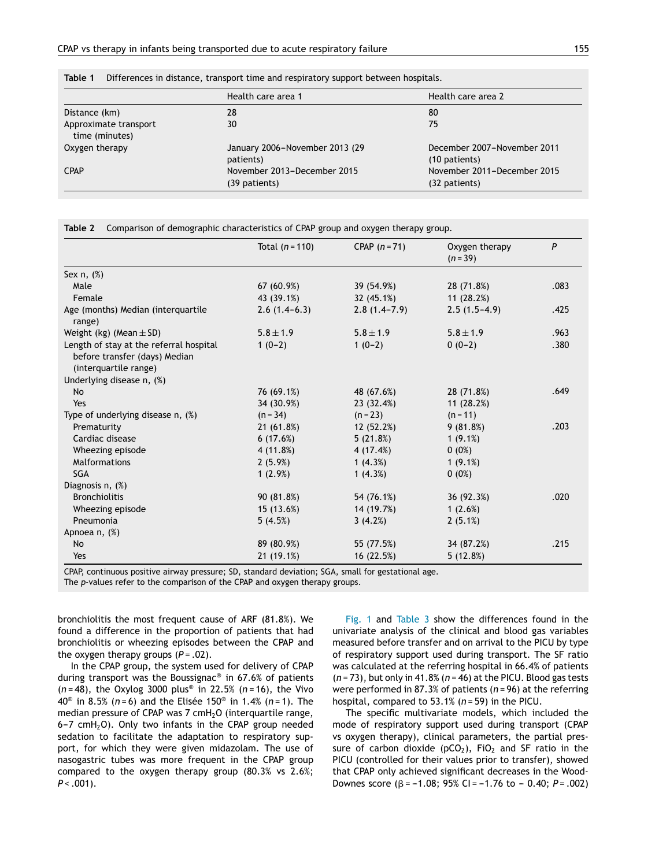|                                         | Health care area 1                           | Health care area 2                           |
|-----------------------------------------|----------------------------------------------|----------------------------------------------|
| Distance (km)                           | 28                                           | 80                                           |
| Approximate transport<br>time (minutes) | 30                                           | 75                                           |
| Oxygen therapy                          | January 2006-November 2013 (29<br>patients)  | December 2007-November 2011<br>(10 patients) |
| <b>CPAP</b>                             | November 2013-December 2015<br>(39 patients) | November 2011-December 2015<br>(32 patients) |

<span id="page-3-0"></span>

|  | Table 1 Differences in distance, transport time and respiratory support between hospitals. |  |  |  |  |  |  |  |
|--|--------------------------------------------------------------------------------------------|--|--|--|--|--|--|--|
|--|--------------------------------------------------------------------------------------------|--|--|--|--|--|--|--|

|                                                                                                   | Total $(n=110)$ | CPAP $(n=71)$    | Oxygen therapy<br>$(n=39)$ | P    |
|---------------------------------------------------------------------------------------------------|-----------------|------------------|----------------------------|------|
| Sex $n, (\%)$                                                                                     |                 |                  |                            |      |
| Male                                                                                              | 67 (60.9%)      | 39 (54.9%)       | 28 (71.8%)                 | .083 |
| Female                                                                                            | 43 (39.1%)      | 32(45.1%)        | 11(28.2%)                  |      |
| Age (months) Median (interquartile<br>range)                                                      | $2.6(1.4-6.3)$  | $2.8(1.4 - 7.9)$ | $2.5(1.5-4.9)$             | .425 |
| Weight (kg) (Mean $\pm$ SD)                                                                       | $5.8 \pm 1.9$   | $5.8 \pm 1.9$    | $5.8 \pm 1.9$              | .963 |
| Length of stay at the referral hospital<br>before transfer (days) Median<br>(interquartile range) | $1(0-2)$        | $1(0-2)$         | $0(0-2)$                   | .380 |
| Underlying disease n, (%)                                                                         |                 |                  |                            |      |
| No                                                                                                | 76 (69.1%)      | 48 (67.6%)       | 28 (71.8%)                 | .649 |
| Yes                                                                                               | 34 (30.9%)      | 23(32.4%)        | 11(28.2%)                  |      |
| Type of underlying disease n, (%)                                                                 | $(n = 34)$      | $(n = 23)$       | $(n = 11)$                 |      |
| Prematurity                                                                                       | 21(61.8%)       | 12(52.2%)        | 9(81.8%)                   | .203 |
| Cardiac disease                                                                                   | 6(17.6%)        | 5(21.8%)         | 1(9.1%)                    |      |
| Wheezing episode                                                                                  | 4 (11.8%)       | 4 (17.4%)        | $0(0\%)$                   |      |
| <b>Malformations</b>                                                                              | 2(5.9%)         | 1(4.3%)          | 1(9.1%)                    |      |
| <b>SGA</b>                                                                                        | 1(2.9%)         | 1(4.3%)          | $0(0\%)$                   |      |
| Diagnosis n, (%)                                                                                  |                 |                  |                            |      |
| <b>Bronchiolitis</b>                                                                              | 90 (81.8%)      | 54 (76.1%)       | 36 (92.3%)                 | .020 |
| Wheezing episode                                                                                  | 15(13.6%)       | 14 (19.7%)       | 1(2.6%)                    |      |
| Pneumonia                                                                                         | 5(4.5%)         | 3(4.2%)          | 2(5.1%)                    |      |
| Apnoea n, (%)                                                                                     |                 |                  |                            |      |
| <b>No</b>                                                                                         | 89 (80.9%)      | 55 (77.5%)       | 34 (87.2%)                 | .215 |
| Yes                                                                                               | 21 (19.1%)      | 16 (22.5%)       | 5(12.8%)                   |      |

CPAP, continuous positive airway pressure; SD, standard deviation; SGA, small for gestational age.

The *p*-values refer to the comparison of the CPAP and oxygen therapy groups.

bronchiolitis the most frequent cause of ARF (81.8%). We found a difference in the proportion of patients that had bronchiolitis or wheezing episodes between the CPAP and the oxygen therapy groups (P = .02).

In the CPAP group, the system used for delivery of CPAP during transport was the Boussignac® in 67.6% of patients (*n* = 48), the Oxylog 3000 plus® in 22.5% (*n* = 16), the Vivo 40® in 8.5% (*n* = 6) and the Elisée 150® in 1.4% (*n* = 1). The median pressure of CPAP was  $7 \text{ cm}H_2O$  (interquartile range, 6-7 cmH<sub>2</sub>O). Only two infants in the CPAP group needed sedation to facilitate the adaptation to respiratory support, for which they were given midazolam. The use of nasogastric tubes was more frequent in the CPAP group compared to the oxygen therapy group (80.3% vs 2.6%;  $P < .001$ ).

[Fig.](#page-4-0) 1 and [Table](#page-5-0) 3 show the differences found in the univariate analysis of the clinical and blood gas variables measured before transfer and on arrival to the PICU by type of respiratory support used during transport. The SF ratio was calculated at the referring hospital in 66.4% of patients (*n* = 73), but only in 41.8% (*n* = 46) at the PICU. Blood gas tests were performed in 87.3% of patients (*n* = 96) at the referring hospital, compared to 53.1% (*n* = 59) in the PICU.

The specific multivariate models, which included the mode of respiratory support used during transport (CPAP vs oxygen therapy), clinical parameters, the partial pressure of carbon dioxide ( $pCO<sub>2</sub>$ ), FiO<sub>2</sub> and SF ratio in the PICU (controlled for their values prior to transfer), showed that CPAP only achieved significant decreases in the Wood-Downes score ( $\beta$  = -1.08; 95% CI = -1.76 to - 0.40; P = .002)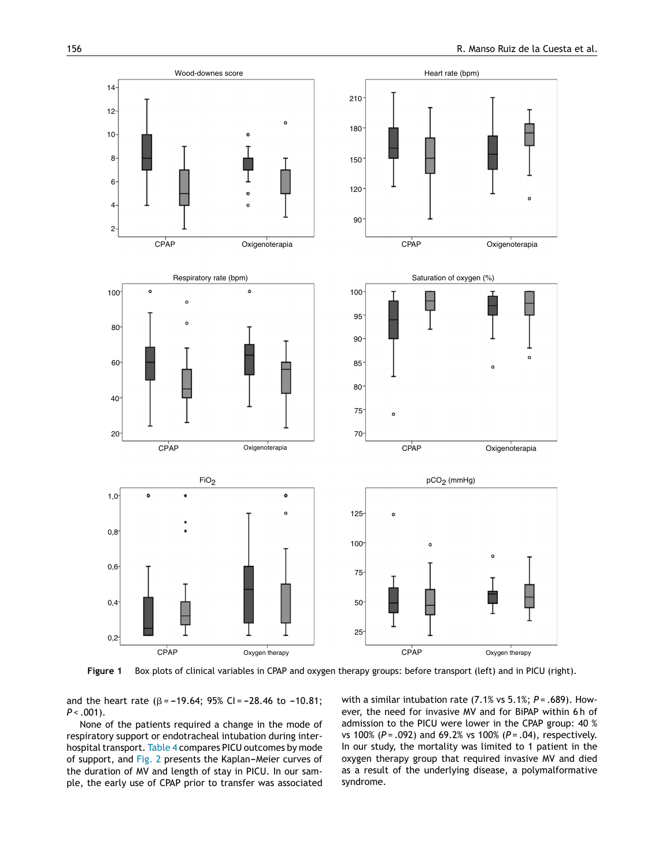<span id="page-4-0"></span>

**Figure 1** Box plots of clinical variables in CPAP and oxygen therapy groups: before transport (left) and in PICU (right).

and the heart rate ( $\beta$  = -19.64; 95% CI = -28.46 to -10.81; *P* < .001).

None of the patients required a change in the mode of respiratory support or endotracheal intubation during inter-hospital transport. [Table](#page-6-0) 4 compares PICU outcomes by mode of support, and [Fig.](#page-7-0) 2 presents the Kaplan-Meier curves of the duration of MV and length of stay in PICU. In our sample, the early use of CPAP prior to transfer was associated with a similar intubation rate (7.1% vs 5.1%; *P* = .689). However, the need for invasive MV and for BiPAP within 6 h of admission to the PICU were lower in the CPAP group: 40 % vs 100% (*P* = .092) and 69.2% vs 100% (*P* = .04), respectively. In our study, the mortality was limited to 1 patient in the oxygen therapy group that required invasive MV and died as a result of the underlying disease, a polymalformative syndrome.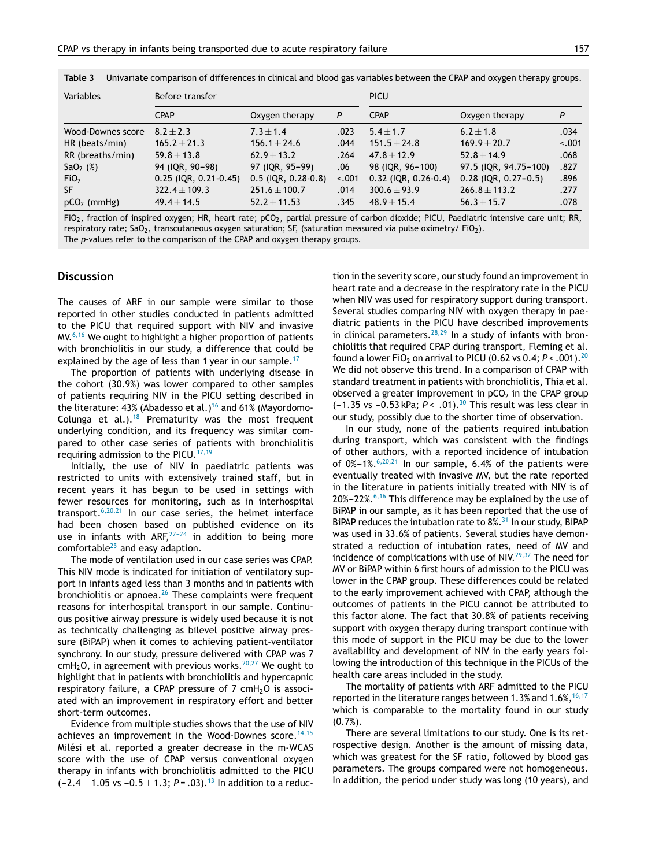| Variables         | Before transfer              |                            |         | <b>PICU</b>                 |                             |         |  |
|-------------------|------------------------------|----------------------------|---------|-----------------------------|-----------------------------|---------|--|
|                   | <b>CPAP</b>                  | Oxygen therapy             | P       | <b>CPAP</b>                 | Oxygen therapy              | P       |  |
| Wood-Downes score | $8.2 + 2.3$                  | $7.3 \pm 1.4$              | .023    | $5.4 \pm 1.7$               | $6.2 \pm 1.8$               | .034    |  |
| HR (beats/min)    | $165.2 \pm 21.3$             | $156.1 \pm 24.6$           | .044    | $151.5 \pm 24.8$            | $169.9 \pm 20.7$            | $-.001$ |  |
| RR (breaths/min)  | $59.8 \pm 13.8$              | $62.9 \pm 13.2$            | .264    | $47.8 \pm 12.9$             | $52.8 \pm 14.9$             | .068    |  |
| $SaO2$ (%)        | 94 (IQR, 90-98)              | 97 (IQR, 95-99)            | .06     | 98 (IQR, 96-100)            | 97.5 (IQR, 94.75-100)       | .827    |  |
| FiO <sub>2</sub>  | $0.25$ (IQR, $0.21 - 0.45$ ) | $0.5$ (IQR, $0.28 - 0.8$ ) | $-.001$ | $0.32$ (IQR, $0.26 - 0.4$ ) | $0.28$ (IQR, $0.27 - 0.5$ ) | .896    |  |
| SF.               | $322.4 \pm 109.3$            | $251.6 \pm 100.7$          | .014    | $300.6 \pm 93.9$            | $266.8 \pm 113.2$           | .277    |  |
| $pCO2$ (mmHg)     | $49.4 \pm 14.5$              | $52.2 \pm 11.53$           | .345    | $48.9 \pm 15.4$             | $56.3 \pm 15.7$             | .078    |  |

<span id="page-5-0"></span>**Table 3** Univariate comparison of differences in clinical and blood gas variables between the CPAP and oxygen therapy groups.

FiO<sub>2</sub>, fraction of inspired oxygen; HR, heart rate; pCO<sub>2</sub>, partial pressure of carbon dioxide; PICU, Paediatric intensive care unit; RR, respiratory rate; SaO<sub>2</sub>, transcutaneous oxygen saturation; SF, (saturation measured via pulse oximetry/ FiO<sub>2</sub>). The *p*-values refer to the comparison of the CPAP and oxygen therapy groups.

#### **Discussion**

The causes of ARF in our sample were similar to those reported in other studies conducted in patients admitted to the PICU that required support with NIV and invasive MV.<sup>[6,16](#page-7-0)</sup> We ought to highlight a higher proportion of patients with bronchiolitis in our study, a difference that could be explained by the age of less than 1 year in our sample.<sup>[17](#page-8-0)</sup>

The proportion of patients with underlying disease in the cohort (30.9%) was lower compared to other samples of patients requiring NIV in the PICU setting described in the literature: 43% (Abadesso et al.)<sup>[16](#page-8-0)</sup> and 61% (Mayordomo-Colunga et al.).<sup>[18](#page-8-0)</sup> Prematurity was the most frequent underlying condition, and its frequency was similar compared to other case series of patients with bronchiolitis requiring admission to the PICU.<sup>[17,19](#page-8-0)</sup>

Initially, the use of NIV in paediatric patients was restricted to units with extensively trained staff, but in recent years it has begun to be used in settings with fewer resources for monitoring, such as in interhospital transport. $6,20,21$  In our case series, the helmet interface had been chosen based on published evidence on its use in infants with  $ARF<sub>1</sub><sup>22-24</sup>$  in addition to being more comfortable $^{25}$  $^{25}$  $^{25}$  and easy adaption.

The mode of ventilation used in our case series was CPAP. This NIV mode is indicated for initiation of ventilatory support in infants aged less than 3 months and in patients with bronchiolitis or apnoea. $26$  These complaints were frequent reasons for interhospital transport in our sample. Continuous positive airway pressure is widely used because it is not as technically challenging as bilevel positive airway pressure (BiPAP) when it comes to achieving patient-ventilator synchrony. In our study, pressure delivered with CPAP was 7 cmH<sub>2</sub>O, in agreement with previous works.<sup>[20,27](#page-8-0)</sup> We ought to highlight that in patients with bronchiolitis and hypercapnic respiratory failure, a CPAP pressure of  $7$  cmH<sub>2</sub>O is associated with an improvement in respiratory effort and better short-term outcomes.

Evidence from multiple studies shows that the use of NIV achieves an improvement in the Wood-Downes score.<sup>[14,15](#page-8-0)</sup> Milési et al. reported a greater decrease in the m-WCAS score with the use of CPAP versus conventional oxygen therapy in infants with bronchiolitis admitted to the PICU  $(-2.4 \pm 1.05 \text{ vs } -0.5 \pm 1.3; P = .03).$ <sup>[13](#page-8-0)</sup> In addition to a reduction in the severity score, our study found an improvement in heart rate and a decrease in the respiratory rate in the PICU when NIV was used for respiratory support during transport. Several studies comparing NIV with oxygen therapy in paediatric patients in the PICU have described improvements in clinical parameters. $28,29$  In a study of infants with bronchiolitis that required CPAP during transport, Fleming et al. found a lower FiO<sub>2</sub> on arrival to PICU (0.62 vs 0.4;  $P < .001$ ).<sup>[20](#page-8-0)</sup> We did not observe this trend. In a comparison of CPAP with standard treatment in patients with bronchiolitis, Thia et al. observed a greater improvement in  $pCO<sub>2</sub>$  in the CPAP group (-1.35 vs -0.53 kPa;  $P < .01$ ).<sup>[30](#page-8-0)</sup> This result was less clear in our study, possibly due to the shorter time of observation.

In our study, none of the patients required intubation during transport, which was consistent with the findings of other authors, with a reported incidence of intubation of  $0\% - 1\%.$ <sup>[6,20,21](#page-7-0)</sup> In our sample, 6.4% of the patients were eventually treated with invasive MV, but the rate reported in the literature in patients initially treated with NIV is of  $20\% - 22\%.$ <sup>[6,16](#page-7-0)</sup> This difference may be explained by the use of BiPAP in our sample, as it has been reported that the use of BiPAP reduces the intubation rate to  $8\%$ .<sup>[31](#page-8-0)</sup> In our study, BiPAP was used in 33.6% of patients. Several studies have demonstrated a reduction of intubation rates, need of MV and incidence of complications with use of NIV.<sup>[29,32](#page-8-0)</sup> The need for MV or BiPAP within 6 first hours of admission to the PICU was lower in the CPAP group. These differences could be related to the early improvement achieved with CPAP, although the outcomes of patients in the PICU cannot be attributed to this factor alone. The fact that 30.8% of patients receiving support with oxygen therapy during transport continue with this mode of support in the PICU may be due to the lower availability and development of NIV in the early years following the introduction of this technique in the PICUs of the health care areas included in the study.

The mortality of patients with ARF admitted to the PICU reported in the literature ranges between 1.3% and 1.6%,  $16,17$ which is comparable to the mortality found in our study  $(0.7\%)$ .

There are several limitations to our study. One is its retrospective design. Another is the amount of missing data, which was greatest for the SF ratio, followed by blood gas parameters. The groups compared were not homogeneous. In addition, the period under study was long (10 years), and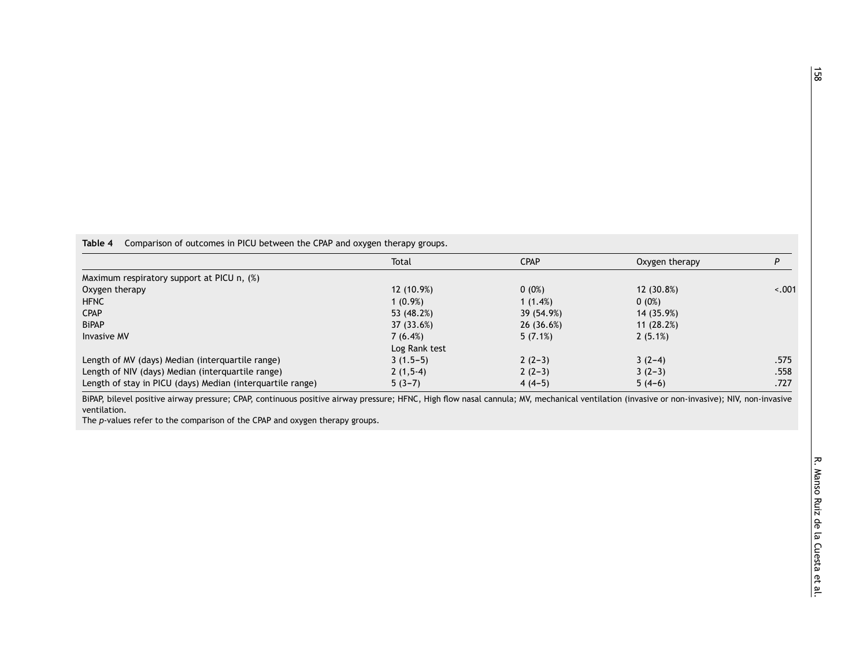<span id="page-6-0"></span>**Table 4** Comparison of outcomes in PICU between the CPAP and oxygen therapy groups.

|                                                            | Total         | <b>CPAP</b> | Oxygen therapy |         |
|------------------------------------------------------------|---------------|-------------|----------------|---------|
| Maximum respiratory support at PICU n, (%)                 |               |             |                |         |
| Oxygen therapy                                             | 12 (10.9%)    | $0(0\%)$    | 12 (30.8%)     | $-.001$ |
| <b>HFNC</b>                                                | 1 (0.9%)      | 1(1.4%)     | $0(0\%)$       |         |
| <b>CPAP</b>                                                | 53 (48.2%)    | 39 (54.9%)  | 14 (35.9%)     |         |
| <b>BiPAP</b>                                               | 37 (33.6%)    | 26(36.6%)   | 11(28.2%)      |         |
| <b>Invasive MV</b>                                         | 7(6.4%)       | $5(7.1\%)$  | 2(5.1%)        |         |
|                                                            | Log Rank test |             |                |         |
| Length of MV (days) Median (interquartile range)           | $3(1.5-5)$    | $2(2-3)$    | $3(2-4)$       | .575    |
| Length of NIV (days) Median (interquartile range)          | $2(1,5-4)$    | $2(2-3)$    | $3(2-3)$       | .558    |
| Length of stay in PICU (days) Median (interquartile range) | $5(3-7)$      | $4(4-5)$    | $5(4-6)$       | .727    |

BiPAP, bilevel positive airway pressure; CPAP, continuous positive airway pressure; HFNC, High flow nasal cannula; MV, mechanical ventilation (invasive or non-invasive); NIV, non-invasive ventilation.

The *p*-values refer to the comparison of the CPAP and oxygen therapy groups.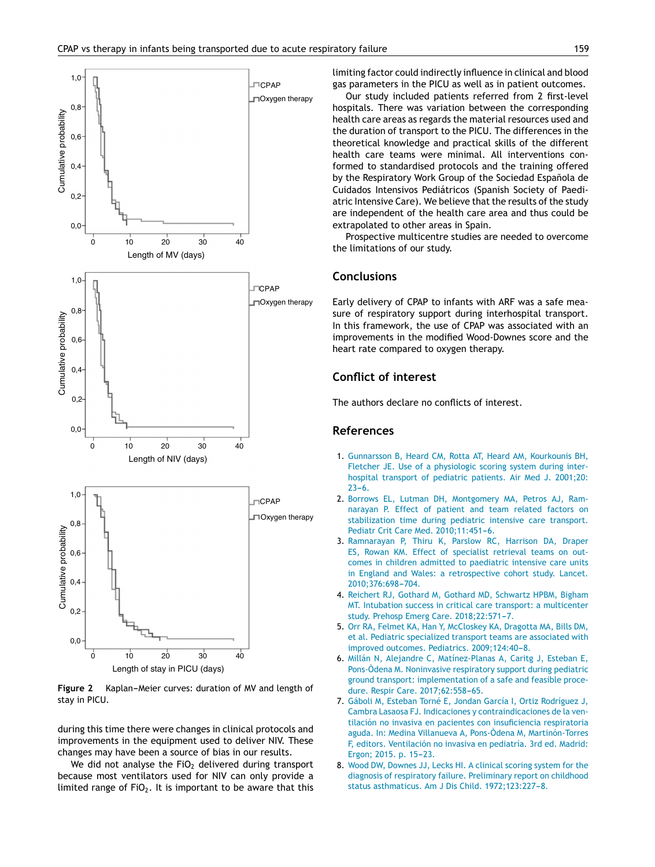<span id="page-7-0"></span>

**Figure 2** Kaplan-Meier curves: duration of MV and length of stay in PICU.

during this time there were changes in clinical protocols and improvements in the equipment used to deliver NIV. These changes may have been a source of bias in our results.

We did not analyse the FiO<sub>2</sub> delivered during transport because most ventilators used for NIV can only provide a limited range of  $FiO<sub>2</sub>$ . It is important to be aware that this limiting factor could indirectly influence in clinical and blood gas parameters in the PICU as well as in patient outcomes.

Our study included patients referred from 2 first-level hospitals. There was variation between the corresponding health care areas as regards the material resources used and the duration of transport to the PICU. The differences in the theoretical knowledge and practical skills of the different health care teams were minimal. All interventions conformed to standardised protocols and the training offered by the Respiratory Work Group of the Sociedad Española de Cuidados Intensivos Pediátricos (Spanish Society of Paediatric Intensive Care). We believe that the results of the study are independent of the health care area and thus could be extrapolated to other areas in Spain.

Prospective multicentre studies are needed to overcome the limitations of our study.

### **Conclusions**

Early delivery of CPAP to infants with ARF was a safe measure of respiratory support during interhospital transport. In this framework, the use of CPAP was associated with an improvements in the modified Wood-Downes score and the heart rate compared to oxygen therapy.

## **Conflict of interest**

The authors declare no conflicts of interest.

#### **References**

- 1. [Gunnarsson](http://refhub.elsevier.com/S2341-2879(20)30023-5/sbref0005) [B,](http://refhub.elsevier.com/S2341-2879(20)30023-5/sbref0005) [Heard](http://refhub.elsevier.com/S2341-2879(20)30023-5/sbref0005) [CM,](http://refhub.elsevier.com/S2341-2879(20)30023-5/sbref0005) [Rotta](http://refhub.elsevier.com/S2341-2879(20)30023-5/sbref0005) [AT,](http://refhub.elsevier.com/S2341-2879(20)30023-5/sbref0005) [Heard](http://refhub.elsevier.com/S2341-2879(20)30023-5/sbref0005) [AM,](http://refhub.elsevier.com/S2341-2879(20)30023-5/sbref0005) [Kourkounis](http://refhub.elsevier.com/S2341-2879(20)30023-5/sbref0005) [BH,](http://refhub.elsevier.com/S2341-2879(20)30023-5/sbref0005) [Fletcher](http://refhub.elsevier.com/S2341-2879(20)30023-5/sbref0005) [JE.](http://refhub.elsevier.com/S2341-2879(20)30023-5/sbref0005) [Use](http://refhub.elsevier.com/S2341-2879(20)30023-5/sbref0005) [of](http://refhub.elsevier.com/S2341-2879(20)30023-5/sbref0005) [a](http://refhub.elsevier.com/S2341-2879(20)30023-5/sbref0005) [physiologic](http://refhub.elsevier.com/S2341-2879(20)30023-5/sbref0005) [scoring](http://refhub.elsevier.com/S2341-2879(20)30023-5/sbref0005) [system](http://refhub.elsevier.com/S2341-2879(20)30023-5/sbref0005) [during](http://refhub.elsevier.com/S2341-2879(20)30023-5/sbref0005) [inter](http://refhub.elsevier.com/S2341-2879(20)30023-5/sbref0005)[hospital](http://refhub.elsevier.com/S2341-2879(20)30023-5/sbref0005) [transport](http://refhub.elsevier.com/S2341-2879(20)30023-5/sbref0005) [of](http://refhub.elsevier.com/S2341-2879(20)30023-5/sbref0005) [pediatric](http://refhub.elsevier.com/S2341-2879(20)30023-5/sbref0005) [patients.](http://refhub.elsevier.com/S2341-2879(20)30023-5/sbref0005) [Air](http://refhub.elsevier.com/S2341-2879(20)30023-5/sbref0005) [Med](http://refhub.elsevier.com/S2341-2879(20)30023-5/sbref0005) [J.](http://refhub.elsevier.com/S2341-2879(20)30023-5/sbref0005) [2001;20:](http://refhub.elsevier.com/S2341-2879(20)30023-5/sbref0005)  $23-6.$
- 2. [Borrows](http://refhub.elsevier.com/S2341-2879(20)30023-5/sbref0010) [EL,](http://refhub.elsevier.com/S2341-2879(20)30023-5/sbref0010) [Lutman](http://refhub.elsevier.com/S2341-2879(20)30023-5/sbref0010) [DH,](http://refhub.elsevier.com/S2341-2879(20)30023-5/sbref0010) [Montgomery](http://refhub.elsevier.com/S2341-2879(20)30023-5/sbref0010) [MA,](http://refhub.elsevier.com/S2341-2879(20)30023-5/sbref0010) [Petros](http://refhub.elsevier.com/S2341-2879(20)30023-5/sbref0010) [AJ,](http://refhub.elsevier.com/S2341-2879(20)30023-5/sbref0010) [Ram](http://refhub.elsevier.com/S2341-2879(20)30023-5/sbref0010)[narayan](http://refhub.elsevier.com/S2341-2879(20)30023-5/sbref0010) [P.](http://refhub.elsevier.com/S2341-2879(20)30023-5/sbref0010) [Effect](http://refhub.elsevier.com/S2341-2879(20)30023-5/sbref0010) [of](http://refhub.elsevier.com/S2341-2879(20)30023-5/sbref0010) [patient](http://refhub.elsevier.com/S2341-2879(20)30023-5/sbref0010) [and](http://refhub.elsevier.com/S2341-2879(20)30023-5/sbref0010) [team](http://refhub.elsevier.com/S2341-2879(20)30023-5/sbref0010) [related](http://refhub.elsevier.com/S2341-2879(20)30023-5/sbref0010) [factors](http://refhub.elsevier.com/S2341-2879(20)30023-5/sbref0010) [on](http://refhub.elsevier.com/S2341-2879(20)30023-5/sbref0010) [stabilization](http://refhub.elsevier.com/S2341-2879(20)30023-5/sbref0010) [time](http://refhub.elsevier.com/S2341-2879(20)30023-5/sbref0010) [during](http://refhub.elsevier.com/S2341-2879(20)30023-5/sbref0010) [pediatric](http://refhub.elsevier.com/S2341-2879(20)30023-5/sbref0010) [intensive](http://refhub.elsevier.com/S2341-2879(20)30023-5/sbref0010) [care](http://refhub.elsevier.com/S2341-2879(20)30023-5/sbref0010) [transport.](http://refhub.elsevier.com/S2341-2879(20)30023-5/sbref0010) [Pediatr](http://refhub.elsevier.com/S2341-2879(20)30023-5/sbref0010) [Crit](http://refhub.elsevier.com/S2341-2879(20)30023-5/sbref0010) [Care](http://refhub.elsevier.com/S2341-2879(20)30023-5/sbref0010) [Med.](http://refhub.elsevier.com/S2341-2879(20)30023-5/sbref0010) 2010;11:451-6.
- 3. [Ramnarayan](http://refhub.elsevier.com/S2341-2879(20)30023-5/sbref0015) [P,](http://refhub.elsevier.com/S2341-2879(20)30023-5/sbref0015) [Thiru](http://refhub.elsevier.com/S2341-2879(20)30023-5/sbref0015) [K,](http://refhub.elsevier.com/S2341-2879(20)30023-5/sbref0015) [Parslow](http://refhub.elsevier.com/S2341-2879(20)30023-5/sbref0015) [RC,](http://refhub.elsevier.com/S2341-2879(20)30023-5/sbref0015) [Harrison](http://refhub.elsevier.com/S2341-2879(20)30023-5/sbref0015) [DA,](http://refhub.elsevier.com/S2341-2879(20)30023-5/sbref0015) [Draper](http://refhub.elsevier.com/S2341-2879(20)30023-5/sbref0015) [ES,](http://refhub.elsevier.com/S2341-2879(20)30023-5/sbref0015) [Rowan](http://refhub.elsevier.com/S2341-2879(20)30023-5/sbref0015) [KM.](http://refhub.elsevier.com/S2341-2879(20)30023-5/sbref0015) [Effect](http://refhub.elsevier.com/S2341-2879(20)30023-5/sbref0015) [of](http://refhub.elsevier.com/S2341-2879(20)30023-5/sbref0015) [specialist](http://refhub.elsevier.com/S2341-2879(20)30023-5/sbref0015) [retrieval](http://refhub.elsevier.com/S2341-2879(20)30023-5/sbref0015) [teams](http://refhub.elsevier.com/S2341-2879(20)30023-5/sbref0015) [on](http://refhub.elsevier.com/S2341-2879(20)30023-5/sbref0015) [out](http://refhub.elsevier.com/S2341-2879(20)30023-5/sbref0015)[comes](http://refhub.elsevier.com/S2341-2879(20)30023-5/sbref0015) [in](http://refhub.elsevier.com/S2341-2879(20)30023-5/sbref0015) [children](http://refhub.elsevier.com/S2341-2879(20)30023-5/sbref0015) [admitted](http://refhub.elsevier.com/S2341-2879(20)30023-5/sbref0015) [to](http://refhub.elsevier.com/S2341-2879(20)30023-5/sbref0015) [paediatric](http://refhub.elsevier.com/S2341-2879(20)30023-5/sbref0015) [intensive](http://refhub.elsevier.com/S2341-2879(20)30023-5/sbref0015) [care](http://refhub.elsevier.com/S2341-2879(20)30023-5/sbref0015) [units](http://refhub.elsevier.com/S2341-2879(20)30023-5/sbref0015) [in](http://refhub.elsevier.com/S2341-2879(20)30023-5/sbref0015) [England](http://refhub.elsevier.com/S2341-2879(20)30023-5/sbref0015) [and](http://refhub.elsevier.com/S2341-2879(20)30023-5/sbref0015) [Wales:](http://refhub.elsevier.com/S2341-2879(20)30023-5/sbref0015) [a](http://refhub.elsevier.com/S2341-2879(20)30023-5/sbref0015) [retrospective](http://refhub.elsevier.com/S2341-2879(20)30023-5/sbref0015) [cohort](http://refhub.elsevier.com/S2341-2879(20)30023-5/sbref0015) [study.](http://refhub.elsevier.com/S2341-2879(20)30023-5/sbref0015) [Lancet.](http://refhub.elsevier.com/S2341-2879(20)30023-5/sbref0015) 2010:376:698-704.
- 4. [Reichert](http://refhub.elsevier.com/S2341-2879(20)30023-5/sbref0020) [RJ,](http://refhub.elsevier.com/S2341-2879(20)30023-5/sbref0020) [Gothard](http://refhub.elsevier.com/S2341-2879(20)30023-5/sbref0020) [M,](http://refhub.elsevier.com/S2341-2879(20)30023-5/sbref0020) [Gothard](http://refhub.elsevier.com/S2341-2879(20)30023-5/sbref0020) [MD,](http://refhub.elsevier.com/S2341-2879(20)30023-5/sbref0020) [Schwartz](http://refhub.elsevier.com/S2341-2879(20)30023-5/sbref0020) [HPBM,](http://refhub.elsevier.com/S2341-2879(20)30023-5/sbref0020) [Bigham](http://refhub.elsevier.com/S2341-2879(20)30023-5/sbref0020) [MT.](http://refhub.elsevier.com/S2341-2879(20)30023-5/sbref0020) [Intubation](http://refhub.elsevier.com/S2341-2879(20)30023-5/sbref0020) [success](http://refhub.elsevier.com/S2341-2879(20)30023-5/sbref0020) [in](http://refhub.elsevier.com/S2341-2879(20)30023-5/sbref0020) [critical](http://refhub.elsevier.com/S2341-2879(20)30023-5/sbref0020) [care](http://refhub.elsevier.com/S2341-2879(20)30023-5/sbref0020) [transport:](http://refhub.elsevier.com/S2341-2879(20)30023-5/sbref0020) [a](http://refhub.elsevier.com/S2341-2879(20)30023-5/sbref0020) [multicenter](http://refhub.elsevier.com/S2341-2879(20)30023-5/sbref0020) [study.](http://refhub.elsevier.com/S2341-2879(20)30023-5/sbref0020) [Prehosp](http://refhub.elsevier.com/S2341-2879(20)30023-5/sbref0020) [Emerg](http://refhub.elsevier.com/S2341-2879(20)30023-5/sbref0020) [Care.](http://refhub.elsevier.com/S2341-2879(20)30023-5/sbref0020) 2018;22:571-7.
- 5. [Orr](http://refhub.elsevier.com/S2341-2879(20)30023-5/sbref0025) [RA,](http://refhub.elsevier.com/S2341-2879(20)30023-5/sbref0025) [Felmet](http://refhub.elsevier.com/S2341-2879(20)30023-5/sbref0025) [KA,](http://refhub.elsevier.com/S2341-2879(20)30023-5/sbref0025) [Han](http://refhub.elsevier.com/S2341-2879(20)30023-5/sbref0025) [Y,](http://refhub.elsevier.com/S2341-2879(20)30023-5/sbref0025) [McCloskey](http://refhub.elsevier.com/S2341-2879(20)30023-5/sbref0025) [KA,](http://refhub.elsevier.com/S2341-2879(20)30023-5/sbref0025) [Dragotta](http://refhub.elsevier.com/S2341-2879(20)30023-5/sbref0025) [MA,](http://refhub.elsevier.com/S2341-2879(20)30023-5/sbref0025) [Bills](http://refhub.elsevier.com/S2341-2879(20)30023-5/sbref0025) [DM,](http://refhub.elsevier.com/S2341-2879(20)30023-5/sbref0025) [et](http://refhub.elsevier.com/S2341-2879(20)30023-5/sbref0025) [al.](http://refhub.elsevier.com/S2341-2879(20)30023-5/sbref0025) [Pediatric](http://refhub.elsevier.com/S2341-2879(20)30023-5/sbref0025) [specialized](http://refhub.elsevier.com/S2341-2879(20)30023-5/sbref0025) [transport](http://refhub.elsevier.com/S2341-2879(20)30023-5/sbref0025) [teams](http://refhub.elsevier.com/S2341-2879(20)30023-5/sbref0025) [are](http://refhub.elsevier.com/S2341-2879(20)30023-5/sbref0025) [associated](http://refhub.elsevier.com/S2341-2879(20)30023-5/sbref0025) [with](http://refhub.elsevier.com/S2341-2879(20)30023-5/sbref0025) [improved](http://refhub.elsevier.com/S2341-2879(20)30023-5/sbref0025) [outcomes.](http://refhub.elsevier.com/S2341-2879(20)30023-5/sbref0025) [Pediatrics.](http://refhub.elsevier.com/S2341-2879(20)30023-5/sbref0025) 2009;124:40-8.
- 6. [Millán](http://refhub.elsevier.com/S2341-2879(20)30023-5/sbref0030) [N,](http://refhub.elsevier.com/S2341-2879(20)30023-5/sbref0030) [Alejandre](http://refhub.elsevier.com/S2341-2879(20)30023-5/sbref0030) [C,](http://refhub.elsevier.com/S2341-2879(20)30023-5/sbref0030) [Matínez-Planas](http://refhub.elsevier.com/S2341-2879(20)30023-5/sbref0030) [A,](http://refhub.elsevier.com/S2341-2879(20)30023-5/sbref0030) [Caritg](http://refhub.elsevier.com/S2341-2879(20)30023-5/sbref0030) [J,](http://refhub.elsevier.com/S2341-2879(20)30023-5/sbref0030) [Esteban](http://refhub.elsevier.com/S2341-2879(20)30023-5/sbref0030) [E,](http://refhub.elsevier.com/S2341-2879(20)30023-5/sbref0030) [Pons-Òdena](http://refhub.elsevier.com/S2341-2879(20)30023-5/sbref0030) [M.](http://refhub.elsevier.com/S2341-2879(20)30023-5/sbref0030) [Noninvasive](http://refhub.elsevier.com/S2341-2879(20)30023-5/sbref0030) [respiratory](http://refhub.elsevier.com/S2341-2879(20)30023-5/sbref0030) [support](http://refhub.elsevier.com/S2341-2879(20)30023-5/sbref0030) [during](http://refhub.elsevier.com/S2341-2879(20)30023-5/sbref0030) [pediatric](http://refhub.elsevier.com/S2341-2879(20)30023-5/sbref0030) [ground](http://refhub.elsevier.com/S2341-2879(20)30023-5/sbref0030) [transport:](http://refhub.elsevier.com/S2341-2879(20)30023-5/sbref0030) [implementation](http://refhub.elsevier.com/S2341-2879(20)30023-5/sbref0030) [of](http://refhub.elsevier.com/S2341-2879(20)30023-5/sbref0030) [a](http://refhub.elsevier.com/S2341-2879(20)30023-5/sbref0030) [safe](http://refhub.elsevier.com/S2341-2879(20)30023-5/sbref0030) [and](http://refhub.elsevier.com/S2341-2879(20)30023-5/sbref0030) [feasible](http://refhub.elsevier.com/S2341-2879(20)30023-5/sbref0030) [proce](http://refhub.elsevier.com/S2341-2879(20)30023-5/sbref0030)[dure.](http://refhub.elsevier.com/S2341-2879(20)30023-5/sbref0030) [Respir](http://refhub.elsevier.com/S2341-2879(20)30023-5/sbref0030) [Care.](http://refhub.elsevier.com/S2341-2879(20)30023-5/sbref0030) [2017;62:558](http://refhub.elsevier.com/S2341-2879(20)30023-5/sbref0030)-[65.](http://refhub.elsevier.com/S2341-2879(20)30023-5/sbref0030)
- 7. [Gáboli](http://refhub.elsevier.com/S2341-2879(20)30023-5/sbref0035) [M,](http://refhub.elsevier.com/S2341-2879(20)30023-5/sbref0035) [Esteban](http://refhub.elsevier.com/S2341-2879(20)30023-5/sbref0035) [Torné](http://refhub.elsevier.com/S2341-2879(20)30023-5/sbref0035) [E,](http://refhub.elsevier.com/S2341-2879(20)30023-5/sbref0035) [Jondan](http://refhub.elsevier.com/S2341-2879(20)30023-5/sbref0035) [García](http://refhub.elsevier.com/S2341-2879(20)30023-5/sbref0035) [I,](http://refhub.elsevier.com/S2341-2879(20)30023-5/sbref0035) [Ortiz](http://refhub.elsevier.com/S2341-2879(20)30023-5/sbref0035) [Rodríguez](http://refhub.elsevier.com/S2341-2879(20)30023-5/sbref0035) [J,](http://refhub.elsevier.com/S2341-2879(20)30023-5/sbref0035) [Cambra](http://refhub.elsevier.com/S2341-2879(20)30023-5/sbref0035) [Lasaosa](http://refhub.elsevier.com/S2341-2879(20)30023-5/sbref0035) [FJ.](http://refhub.elsevier.com/S2341-2879(20)30023-5/sbref0035) [Indicaciones](http://refhub.elsevier.com/S2341-2879(20)30023-5/sbref0035) [y](http://refhub.elsevier.com/S2341-2879(20)30023-5/sbref0035) [contraindicaciones](http://refhub.elsevier.com/S2341-2879(20)30023-5/sbref0035) [de](http://refhub.elsevier.com/S2341-2879(20)30023-5/sbref0035) [la](http://refhub.elsevier.com/S2341-2879(20)30023-5/sbref0035) [ven](http://refhub.elsevier.com/S2341-2879(20)30023-5/sbref0035)[tilación](http://refhub.elsevier.com/S2341-2879(20)30023-5/sbref0035) [no](http://refhub.elsevier.com/S2341-2879(20)30023-5/sbref0035) [invasiva](http://refhub.elsevier.com/S2341-2879(20)30023-5/sbref0035) [en](http://refhub.elsevier.com/S2341-2879(20)30023-5/sbref0035) [pacientes](http://refhub.elsevier.com/S2341-2879(20)30023-5/sbref0035) [con](http://refhub.elsevier.com/S2341-2879(20)30023-5/sbref0035) [insuficiencia](http://refhub.elsevier.com/S2341-2879(20)30023-5/sbref0035) [respiratoria](http://refhub.elsevier.com/S2341-2879(20)30023-5/sbref0035) [aguda.](http://refhub.elsevier.com/S2341-2879(20)30023-5/sbref0035) [In:](http://refhub.elsevier.com/S2341-2879(20)30023-5/sbref0035) [Medina](http://refhub.elsevier.com/S2341-2879(20)30023-5/sbref0035) [Villanueva](http://refhub.elsevier.com/S2341-2879(20)30023-5/sbref0035) [A,](http://refhub.elsevier.com/S2341-2879(20)30023-5/sbref0035) [Pons-Òdena](http://refhub.elsevier.com/S2341-2879(20)30023-5/sbref0035) [M,](http://refhub.elsevier.com/S2341-2879(20)30023-5/sbref0035) [Martinón-Torres](http://refhub.elsevier.com/S2341-2879(20)30023-5/sbref0035) [F,](http://refhub.elsevier.com/S2341-2879(20)30023-5/sbref0035) [editors.](http://refhub.elsevier.com/S2341-2879(20)30023-5/sbref0035) [Ventilación](http://refhub.elsevier.com/S2341-2879(20)30023-5/sbref0035) [no](http://refhub.elsevier.com/S2341-2879(20)30023-5/sbref0035) [invasiva](http://refhub.elsevier.com/S2341-2879(20)30023-5/sbref0035) [en](http://refhub.elsevier.com/S2341-2879(20)30023-5/sbref0035) [pediatría.](http://refhub.elsevier.com/S2341-2879(20)30023-5/sbref0035) [3rd](http://refhub.elsevier.com/S2341-2879(20)30023-5/sbref0035) [ed.](http://refhub.elsevier.com/S2341-2879(20)30023-5/sbref0035) [Madrid:](http://refhub.elsevier.com/S2341-2879(20)30023-5/sbref0035) [Ergon;](http://refhub.elsevier.com/S2341-2879(20)30023-5/sbref0035) [2015.](http://refhub.elsevier.com/S2341-2879(20)30023-5/sbref0035) [p.](http://refhub.elsevier.com/S2341-2879(20)30023-5/sbref0035) [15](http://refhub.elsevier.com/S2341-2879(20)30023-5/sbref0035)[-23.](http://refhub.elsevier.com/S2341-2879(20)30023-5/sbref0035)
- 8. [Wood](http://refhub.elsevier.com/S2341-2879(20)30023-5/sbref0040) [DW,](http://refhub.elsevier.com/S2341-2879(20)30023-5/sbref0040) [Downes](http://refhub.elsevier.com/S2341-2879(20)30023-5/sbref0040) [JJ,](http://refhub.elsevier.com/S2341-2879(20)30023-5/sbref0040) [Lecks](http://refhub.elsevier.com/S2341-2879(20)30023-5/sbref0040) [HI.](http://refhub.elsevier.com/S2341-2879(20)30023-5/sbref0040) [A](http://refhub.elsevier.com/S2341-2879(20)30023-5/sbref0040) [clinical](http://refhub.elsevier.com/S2341-2879(20)30023-5/sbref0040) [scoring](http://refhub.elsevier.com/S2341-2879(20)30023-5/sbref0040) [system](http://refhub.elsevier.com/S2341-2879(20)30023-5/sbref0040) [for](http://refhub.elsevier.com/S2341-2879(20)30023-5/sbref0040) [the](http://refhub.elsevier.com/S2341-2879(20)30023-5/sbref0040) [diagnosis](http://refhub.elsevier.com/S2341-2879(20)30023-5/sbref0040) [of](http://refhub.elsevier.com/S2341-2879(20)30023-5/sbref0040) [respiratory](http://refhub.elsevier.com/S2341-2879(20)30023-5/sbref0040) [failure.](http://refhub.elsevier.com/S2341-2879(20)30023-5/sbref0040) [Preliminary](http://refhub.elsevier.com/S2341-2879(20)30023-5/sbref0040) [report](http://refhub.elsevier.com/S2341-2879(20)30023-5/sbref0040) [on](http://refhub.elsevier.com/S2341-2879(20)30023-5/sbref0040) [childhood](http://refhub.elsevier.com/S2341-2879(20)30023-5/sbref0040) [status](http://refhub.elsevier.com/S2341-2879(20)30023-5/sbref0040) [asthmaticus.](http://refhub.elsevier.com/S2341-2879(20)30023-5/sbref0040) [Am](http://refhub.elsevier.com/S2341-2879(20)30023-5/sbref0040) [J](http://refhub.elsevier.com/S2341-2879(20)30023-5/sbref0040) [Dis](http://refhub.elsevier.com/S2341-2879(20)30023-5/sbref0040) [Child.](http://refhub.elsevier.com/S2341-2879(20)30023-5/sbref0040) 1972;123:227-8.